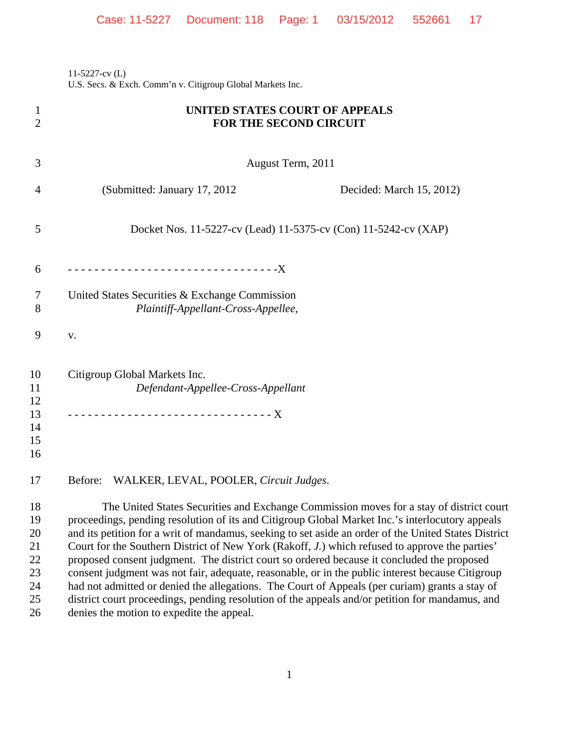11-5227-cv (L) U.S. Secs. & Exch. Comm'n v. Citigroup Global Markets Inc.

| 1<br>$\overline{2}$                          | UNITED STATES COURT OF APPEALS<br><b>FOR THE SECOND CIRCUIT</b>                                                                                                                                                                                                                                                                                                                                                                                                                                                                                                                                                                                                                                                                                                                                             |
|----------------------------------------------|-------------------------------------------------------------------------------------------------------------------------------------------------------------------------------------------------------------------------------------------------------------------------------------------------------------------------------------------------------------------------------------------------------------------------------------------------------------------------------------------------------------------------------------------------------------------------------------------------------------------------------------------------------------------------------------------------------------------------------------------------------------------------------------------------------------|
| 3                                            | August Term, 2011                                                                                                                                                                                                                                                                                                                                                                                                                                                                                                                                                                                                                                                                                                                                                                                           |
| 4                                            | (Submitted: January 17, 2012)<br>Decided: March 15, 2012)                                                                                                                                                                                                                                                                                                                                                                                                                                                                                                                                                                                                                                                                                                                                                   |
| 5                                            | Docket Nos. 11-5227-cv (Lead) 11-5375-cv (Con) 11-5242-cv (XAP)                                                                                                                                                                                                                                                                                                                                                                                                                                                                                                                                                                                                                                                                                                                                             |
| 6                                            | ---------------------------------X                                                                                                                                                                                                                                                                                                                                                                                                                                                                                                                                                                                                                                                                                                                                                                          |
| 7<br>8                                       | United States Securities & Exchange Commission<br>Plaintiff-Appellant-Cross-Appellee,                                                                                                                                                                                                                                                                                                                                                                                                                                                                                                                                                                                                                                                                                                                       |
| 9                                            | ${\bf V}$ .                                                                                                                                                                                                                                                                                                                                                                                                                                                                                                                                                                                                                                                                                                                                                                                                 |
| 10<br>11<br>12<br>13<br>14<br>15<br>16       | Citigroup Global Markets Inc.<br>Defendant-Appellee-Cross-Appellant                                                                                                                                                                                                                                                                                                                                                                                                                                                                                                                                                                                                                                                                                                                                         |
| 17                                           | WALKER, LEVAL, POOLER, Circuit Judges.<br>Before:                                                                                                                                                                                                                                                                                                                                                                                                                                                                                                                                                                                                                                                                                                                                                           |
| 18<br>19<br>20<br>21<br>22<br>23<br>24<br>25 | The United States Securities and Exchange Commission moves for a stay of district court<br>proceedings, pending resolution of its and Citigroup Global Market Inc.'s interlocutory appeals<br>and its petition for a writ of mandamus, seeking to set aside an order of the United States District<br>Court for the Southern District of New York (Rakoff, J.) which refused to approve the parties'<br>proposed consent judgment. The district court so ordered because it concluded the proposed<br>consent judgment was not fair, adequate, reasonable, or in the public interest because Citigroup<br>had not admitted or denied the allegations. The Court of Appeals (per curiam) grants a stay of<br>district court proceedings, pending resolution of the appeals and/or petition for mandamus, and |
| 26                                           | denies the motion to expedite the appeal.                                                                                                                                                                                                                                                                                                                                                                                                                                                                                                                                                                                                                                                                                                                                                                   |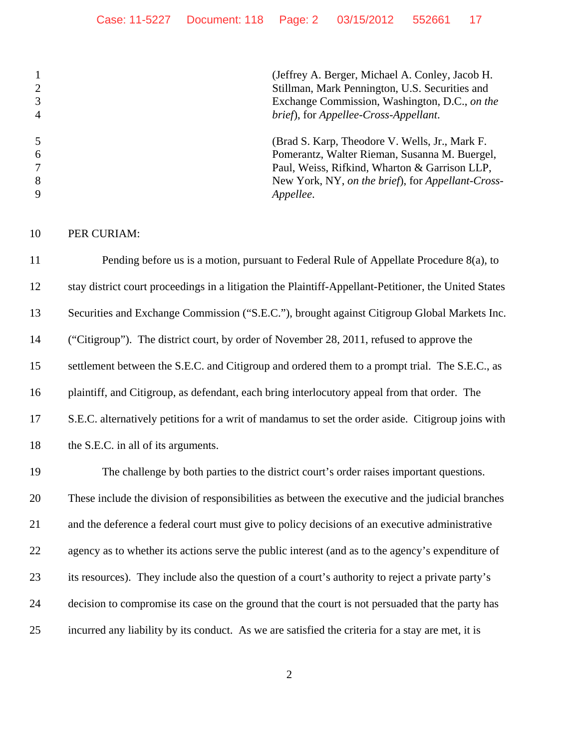(Jeffrey A. Berger, Michael A. Conley, Jacob H. Stillman, Mark Pennington, U.S. Securities and Exchange Commission, Washington, D.C., *on the brief*), for *Appellee-Cross-Appellant*. (Brad S. Karp, Theodore V. Wells, Jr., Mark F. Pomerantz, Walter Rieman, Susanna M. Buergel, Paul, Weiss, Rifkind, Wharton & Garrison LLP, New York, NY, *on the brief*), for *Appellant-Cross-Appellee*.

PER CURIAM:

 Pending before us is a motion, pursuant to Federal Rule of Appellate Procedure 8(a), to stay district court proceedings in a litigation the Plaintiff-Appellant-Petitioner, the United States Securities and Exchange Commission ("S.E.C."), brought against Citigroup Global Markets Inc. ("Citigroup"). The district court, by order of November 28, 2011, refused to approve the 15 settlement between the S.E.C. and Citigroup and ordered them to a prompt trial. The S.E.C., as plaintiff, and Citigroup, as defendant, each bring interlocutory appeal from that order. The S.E.C. alternatively petitions for a writ of mandamus to set the order aside. Citigroup joins with 18 the S.E.C. in all of its arguments.

 The challenge by both parties to the district court's order raises important questions. These include the division of responsibilities as between the executive and the judicial branches and the deference a federal court must give to policy decisions of an executive administrative 22 agency as to whether its actions serve the public interest (and as to the agency's expenditure of its resources). They include also the question of a court's authority to reject a private party's decision to compromise its case on the ground that the court is not persuaded that the party has incurred any liability by its conduct. As we are satisfied the criteria for a stay are met, it is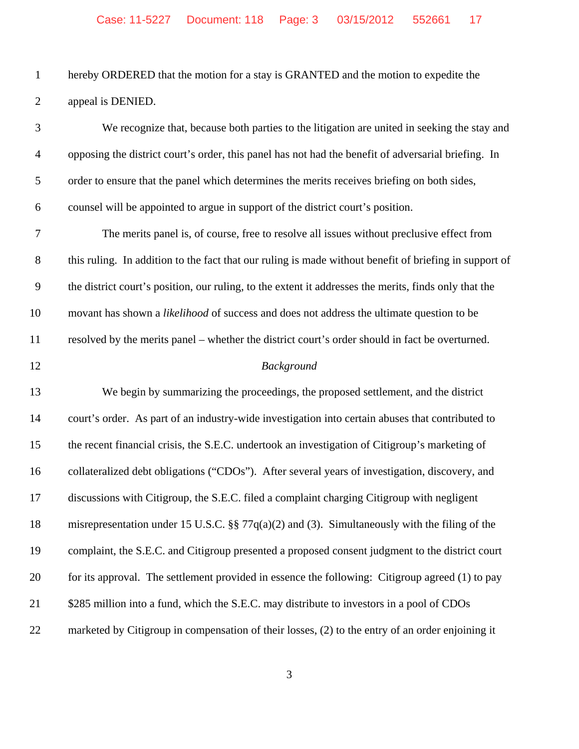hereby ORDERED that the motion for a stay is GRANTED and the motion to expedite the appeal is DENIED.

| $\mathfrak{Z}$   | We recognize that, because both parties to the litigation are united in seeking the stay and           |
|------------------|--------------------------------------------------------------------------------------------------------|
| $\overline{4}$   | opposing the district court's order, this panel has not had the benefit of adversarial briefing. In    |
| $\mathfrak s$    | order to ensure that the panel which determines the merits receives briefing on both sides,            |
| 6                | counsel will be appointed to argue in support of the district court's position.                        |
| $\boldsymbol{7}$ | The merits panel is, of course, free to resolve all issues without preclusive effect from              |
| $8\,$            | this ruling. In addition to the fact that our ruling is made without benefit of briefing in support of |
| 9                | the district court's position, our ruling, to the extent it addresses the merits, finds only that the  |
| 10               | movant has shown a likelihood of success and does not address the ultimate question to be              |
| 11               | resolved by the merits panel – whether the district court's order should in fact be overturned.        |
| 12               | Background                                                                                             |
| 13               | We begin by summarizing the proceedings, the proposed settlement, and the district                     |
| 14               | court's order. As part of an industry-wide investigation into certain abuses that contributed to       |
| 15               | the recent financial crisis, the S.E.C. undertook an investigation of Citigroup's marketing of         |
| 16               | collateralized debt obligations ("CDOs"). After several years of investigation, discovery, and         |
| 17               | discussions with Citigroup, the S.E.C. filed a complaint charging Citigroup with negligent             |
| 18               | misrepresentation under 15 U.S.C. §§ 77 $q(a)(2)$ and (3). Simultaneously with the filing of the       |
| 19               | complaint, the S.E.C. and Citigroup presented a proposed consent judgment to the district court        |
| 20               | for its approval. The settlement provided in essence the following: Citigroup agreed (1) to pay        |
| 21               | \$285 million into a fund, which the S.E.C. may distribute to investors in a pool of CDOs              |
| 22               | marketed by Citigroup in compensation of their losses, (2) to the entry of an order enjoining it       |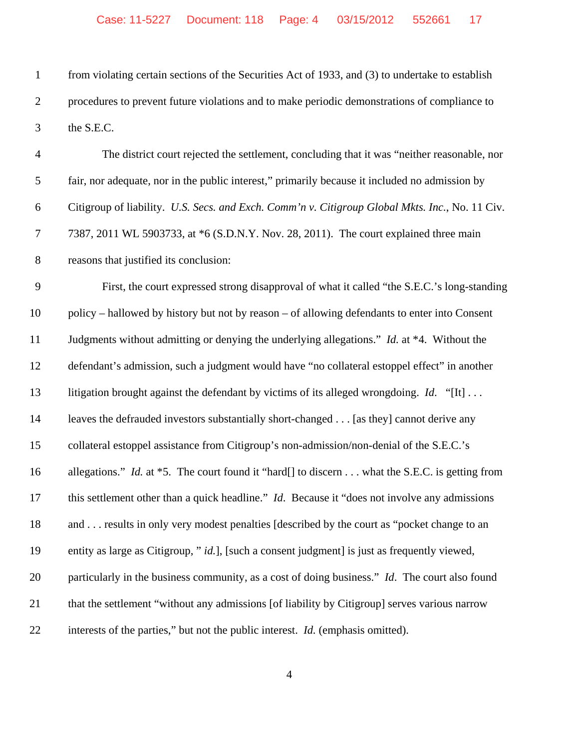from violating certain sections of the Securities Act of 1933, and (3) to undertake to establish procedures to prevent future violations and to make periodic demonstrations of compliance to the S.E.C.

| $\overline{4}$ | The district court rejected the settlement, concluding that it was "neither reasonable, nor              |
|----------------|----------------------------------------------------------------------------------------------------------|
| 5              | fair, nor adequate, nor in the public interest," primarily because it included no admission by           |
| 6              | Citigroup of liability. U.S. Secs. and Exch. Comm'n v. Citigroup Global Mkts. Inc., No. 11 Civ.          |
| $\tau$         | 7387, 2011 WL 5903733, at *6 (S.D.N.Y. Nov. 28, 2011). The court explained three main                    |
| $8\,$          | reasons that justified its conclusion:                                                                   |
| 9              | First, the court expressed strong disapproval of what it called "the S.E.C.'s long-standing              |
| 10             | policy – hallowed by history but not by reason – of allowing defendants to enter into Consent            |
| 11             | Judgments without admitting or denying the underlying allegations." <i>Id.</i> at *4. Without the        |
| 12             | defendant's admission, such a judgment would have "no collateral estoppel effect" in another             |
| 13             | litigation brought against the defendant by victims of its alleged wrongdoing. <i>Id.</i> "[It]          |
| 14             | leaves the defrauded investors substantially short-changed [as they] cannot derive any                   |
| 15             | collateral estoppel assistance from Citigroup's non-admission/non-denial of the S.E.C.'s                 |
| 16             | allegations." <i>Id.</i> at $*5$ . The court found it "hard[] to discern what the S.E.C. is getting from |
| 17             | this settlement other than a quick headline." Id. Because it "does not involve any admissions            |
| 18             | and  results in only very modest penalties [described by the court as "pocket change to an               |
| 19             | entity as large as Citigroup, " id.], [such a consent judgment] is just as frequently viewed,            |
| 20             | particularly in the business community, as a cost of doing business." Id. The court also found           |
| 21             | that the settlement "without any admissions [of liability by Citigroup] serves various narrow            |
| 22             | interests of the parties," but not the public interest. <i>Id.</i> (emphasis omitted).                   |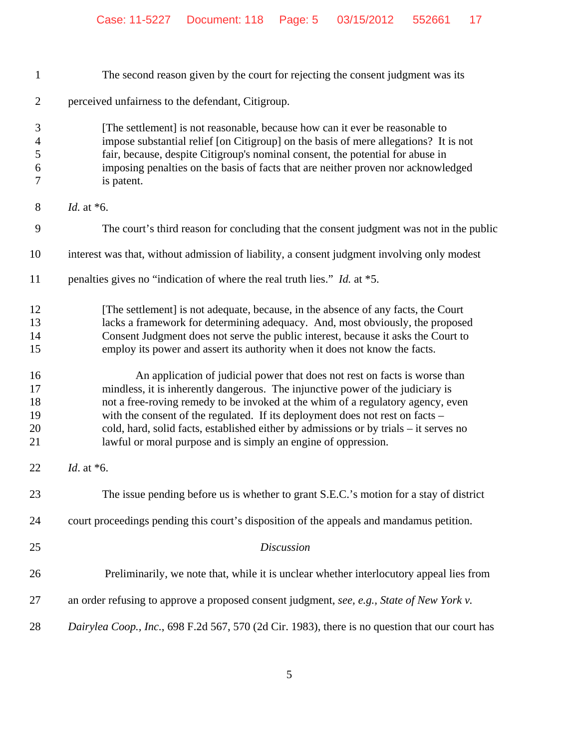| $\mathbf{1}$                                 | The second reason given by the court for rejecting the consent judgment was its                                                                                                                                                                                                                                                                                                                                                                                                             |
|----------------------------------------------|---------------------------------------------------------------------------------------------------------------------------------------------------------------------------------------------------------------------------------------------------------------------------------------------------------------------------------------------------------------------------------------------------------------------------------------------------------------------------------------------|
| $\overline{2}$                               | perceived unfairness to the defendant, Citigroup.                                                                                                                                                                                                                                                                                                                                                                                                                                           |
| 3<br>$\overline{\mathcal{A}}$<br>5<br>6<br>7 | [The settlement] is not reasonable, because how can it ever be reasonable to<br>impose substantial relief [on Citigroup] on the basis of mere allegations? It is not<br>fair, because, despite Citigroup's nominal consent, the potential for abuse in<br>imposing penalties on the basis of facts that are neither proven nor acknowledged<br>is patent.                                                                                                                                   |
| 8                                            | <i>Id.</i> at $*6$ .                                                                                                                                                                                                                                                                                                                                                                                                                                                                        |
| 9                                            | The court's third reason for concluding that the consent judgment was not in the public                                                                                                                                                                                                                                                                                                                                                                                                     |
| 10                                           | interest was that, without admission of liability, a consent judgment involving only modest                                                                                                                                                                                                                                                                                                                                                                                                 |
| 11                                           | penalties gives no "indication of where the real truth lies." <i>Id.</i> at *5.                                                                                                                                                                                                                                                                                                                                                                                                             |
| 12<br>13<br>14<br>15                         | [The settlement] is not adequate, because, in the absence of any facts, the Court<br>lacks a framework for determining adequacy. And, most obviously, the proposed<br>Consent Judgment does not serve the public interest, because it asks the Court to<br>employ its power and assert its authority when it does not know the facts.                                                                                                                                                       |
| 16<br>17<br>18<br>19<br>20<br>21             | An application of judicial power that does not rest on facts is worse than<br>mindless, it is inherently dangerous. The injunctive power of the judiciary is<br>not a free-roving remedy to be invoked at the whim of a regulatory agency, even<br>with the consent of the regulated. If its deployment does not rest on facts -<br>cold, hard, solid facts, established either by admissions or by trials – it serves no<br>lawful or moral purpose and is simply an engine of oppression. |
| 22                                           | Id. at $*6$ .                                                                                                                                                                                                                                                                                                                                                                                                                                                                               |
| 23                                           | The issue pending before us is whether to grant S.E.C.'s motion for a stay of district                                                                                                                                                                                                                                                                                                                                                                                                      |
| 24                                           | court proceedings pending this court's disposition of the appeals and mandamus petition.                                                                                                                                                                                                                                                                                                                                                                                                    |
| 25                                           | <b>Discussion</b>                                                                                                                                                                                                                                                                                                                                                                                                                                                                           |
| 26                                           | Preliminarily, we note that, while it is unclear whether interlocutory appeal lies from                                                                                                                                                                                                                                                                                                                                                                                                     |
| 27                                           | an order refusing to approve a proposed consent judgment, see, e.g., State of New York v.                                                                                                                                                                                                                                                                                                                                                                                                   |
| 28                                           | Dairylea Coop., Inc., 698 F.2d 567, 570 (2d Cir. 1983), there is no question that our court has                                                                                                                                                                                                                                                                                                                                                                                             |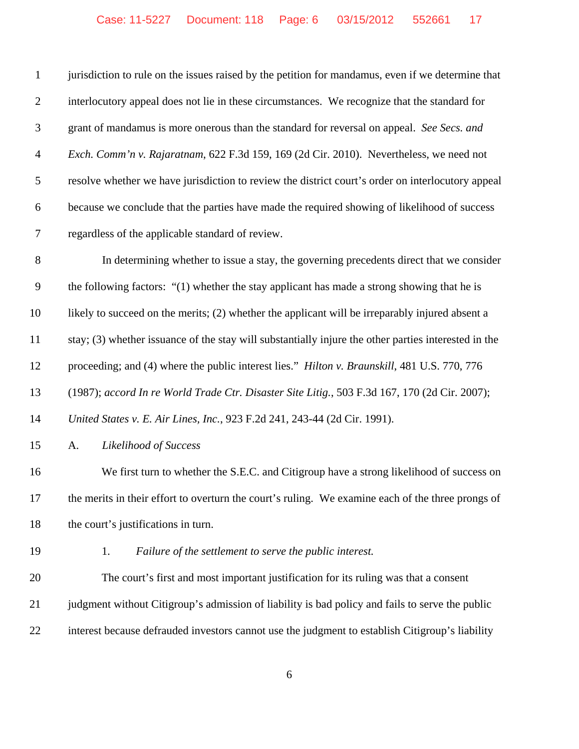| $\mathbf{1}$   | jurisdiction to rule on the issues raised by the petition for mandamus, even if we determine that    |
|----------------|------------------------------------------------------------------------------------------------------|
| $\overline{2}$ | interlocutory appeal does not lie in these circumstances. We recognize that the standard for         |
| 3              | grant of mandamus is more onerous than the standard for reversal on appeal. See Secs. and            |
| $\overline{4}$ | Exch. Comm'n v. Rajaratnam, 622 F.3d 159, 169 (2d Cir. 2010). Nevertheless, we need not              |
| 5              | resolve whether we have jurisdiction to review the district court's order on interlocutory appeal    |
| 6              | because we conclude that the parties have made the required showing of likelihood of success         |
| $\tau$         | regardless of the applicable standard of review.                                                     |
| 8              | In determining whether to issue a stay, the governing precedents direct that we consider             |
| $\overline{9}$ | the following factors: "(1) whether the stay applicant has made a strong showing that he is          |
| 10             | likely to succeed on the merits; (2) whether the applicant will be irreparably injured absent a      |
| 11             | stay; (3) whether issuance of the stay will substantially injure the other parties interested in the |
| 12             | proceeding; and (4) where the public interest lies." Hilton v. Braunskill, 481 U.S. 770, 776         |
| 13             | (1987); accord In re World Trade Ctr. Disaster Site Litig., 503 F.3d 167, 170 (2d Cir. 2007);        |
| 14             | United States v. E. Air Lines, Inc., 923 F.2d 241, 243-44 (2d Cir. 1991).                            |
| 15             | Likelihood of Success<br>A.                                                                          |
| 16             | We first turn to whether the S.E.C. and Citigroup have a strong likelihood of success on             |
| 17             | the merits in their effort to overturn the court's ruling. We examine each of the three prongs of    |
| 18             | the court's justifications in turn.                                                                  |
| 19             | 1.<br>Failure of the settlement to serve the public interest.                                        |
| 20             | The court's first and most important justification for its ruling was that a consent                 |
| 21             | judgment without Citigroup's admission of liability is bad policy and fails to serve the public      |
|                |                                                                                                      |

interest because defrauded investors cannot use the judgment to establish Citigroup's liability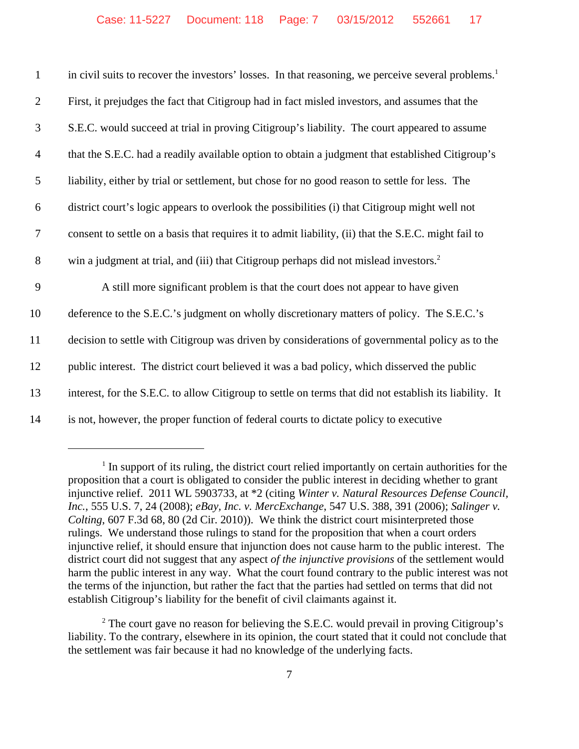| $\mathbf{1}$   | in civil suits to recover the investors' losses. In that reasoning, we perceive several problems. <sup>1</sup> |
|----------------|----------------------------------------------------------------------------------------------------------------|
| $\overline{2}$ | First, it prejudges the fact that Citigroup had in fact misled investors, and assumes that the                 |
| 3              | S.E.C. would succeed at trial in proving Citigroup's liability. The court appeared to assume                   |
| $\overline{4}$ | that the S.E.C. had a readily available option to obtain a judgment that established Citigroup's               |
| 5              | liability, either by trial or settlement, but chose for no good reason to settle for less. The                 |
| 6              | district court's logic appears to overlook the possibilities (i) that Citigroup might well not                 |
| $\overline{7}$ | consent to settle on a basis that requires it to admit liability, (ii) that the S.E.C. might fail to           |
| 8              | win a judgment at trial, and (iii) that Citigroup perhaps did not mislead investors. <sup>2</sup>              |
| 9              | A still more significant problem is that the court does not appear to have given                               |
| 10             | deference to the S.E.C.'s judgment on wholly discretionary matters of policy. The S.E.C.'s                     |
| 11             | decision to settle with Citigroup was driven by considerations of governmental policy as to the                |
| 12             | public interest. The district court believed it was a bad policy, which disserved the public                   |
| 13             | interest, for the S.E.C. to allow Citigroup to settle on terms that did not establish its liability. It        |
| 14             | is not, however, the proper function of federal courts to dictate policy to executive                          |

<sup>&</sup>lt;sup>1</sup> In support of its ruling, the district court relied importantly on certain authorities for the proposition that a court is obligated to consider the public interest in deciding whether to grant injunctive relief. 2011 WL 5903733, at \*2 (citing *Winter v. Natural Resources Defense Council, Inc.*, 555 U.S. 7, 24 (2008); *eBay, Inc. v. MercExchange*, 547 U.S. 388, 391 (2006); *Salinger v. Colting*, 607 F.3d 68, 80 (2d Cir. 2010)). We think the district court misinterpreted those rulings. We understand those rulings to stand for the proposition that when a court orders injunctive relief, it should ensure that injunction does not cause harm to the public interest. The district court did not suggest that any aspect *of the injunctive provisions* of the settlement would harm the public interest in any way. What the court found contrary to the public interest was not the terms of the injunction, but rather the fact that the parties had settled on terms that did not establish Citigroup's liability for the benefit of civil claimants against it.

<sup>2</sup> The court gave no reason for believing the S.E.C. would prevail in proving Citigroup's liability. To the contrary, elsewhere in its opinion, the court stated that it could not conclude that the settlement was fair because it had no knowledge of the underlying facts.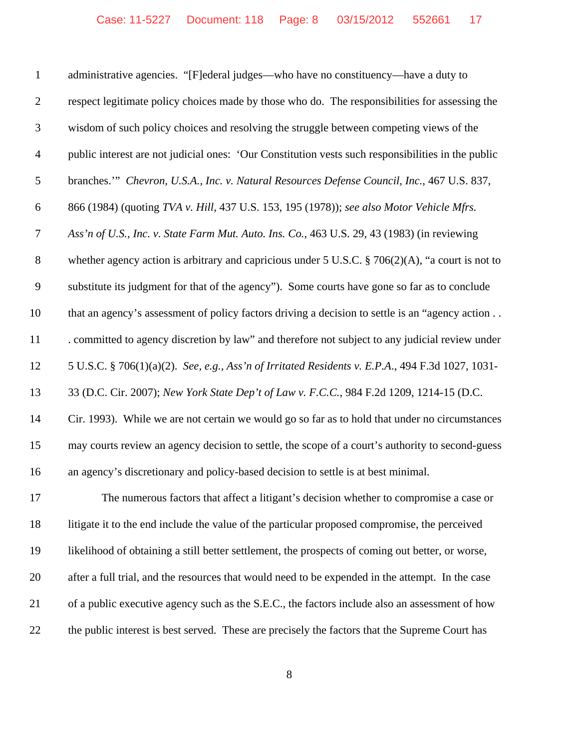| $\mathbf{1}$   | administrative agencies. "[F]ederal judges—who have no constituency—have a duty to                  |
|----------------|-----------------------------------------------------------------------------------------------------|
| $\overline{2}$ | respect legitimate policy choices made by those who do. The responsibilities for assessing the      |
| $\mathfrak{Z}$ | wisdom of such policy choices and resolving the struggle between competing views of the             |
| $\overline{4}$ | public interest are not judicial ones: 'Our Constitution vests such responsibilities in the public  |
| 5              | branches."" Chevron, U.S.A., Inc. v. Natural Resources Defense Council, Inc., 467 U.S. 837,         |
| 6              | 866 (1984) (quoting TVA v. Hill, 437 U.S. 153, 195 (1978)); see also Motor Vehicle Mfrs.            |
| 7              | Ass'n of U.S., Inc. v. State Farm Mut. Auto. Ins. Co., 463 U.S. 29, 43 (1983) (in reviewing         |
| $8\,$          | whether agency action is arbitrary and capricious under 5 U.S.C. $\S$ 706(2)(A), "a court is not to |
| $\mathbf{9}$   | substitute its judgment for that of the agency"). Some courts have gone so far as to conclude       |
| 10             | that an agency's assessment of policy factors driving a decision to settle is an "agency action     |
| 11             | . committed to agency discretion by law" and therefore not subject to any judicial review under     |
| 12             | 5 U.S.C. § 706(1)(a)(2). See, e.g., Ass'n of Irritated Residents v. E.P.A., 494 F.3d 1027, 1031-    |
| 13             | 33 (D.C. Cir. 2007); New York State Dep't of Law v. F.C.C., 984 F.2d 1209, 1214-15 (D.C.            |
| 14             | Cir. 1993). While we are not certain we would go so far as to hold that under no circumstances      |
| 15             | may courts review an agency decision to settle, the scope of a court's authority to second-guess    |
| 16             | an agency's discretionary and policy-based decision to settle is at best minimal.                   |
| 17             | The numerous factors that affect a litigant's decision whether to compromise a case or              |
| 18             | litigate it to the end include the value of the particular proposed compromise, the perceived       |
| 19             | likelihood of obtaining a still better settlement, the prospects of coming out better, or worse,    |
| 20             | after a full trial, and the resources that would need to be expended in the attempt. In the case    |
| 21             | of a public executive agency such as the S.E.C., the factors include also an assessment of how      |
|                |                                                                                                     |

the public interest is best served. These are precisely the factors that the Supreme Court has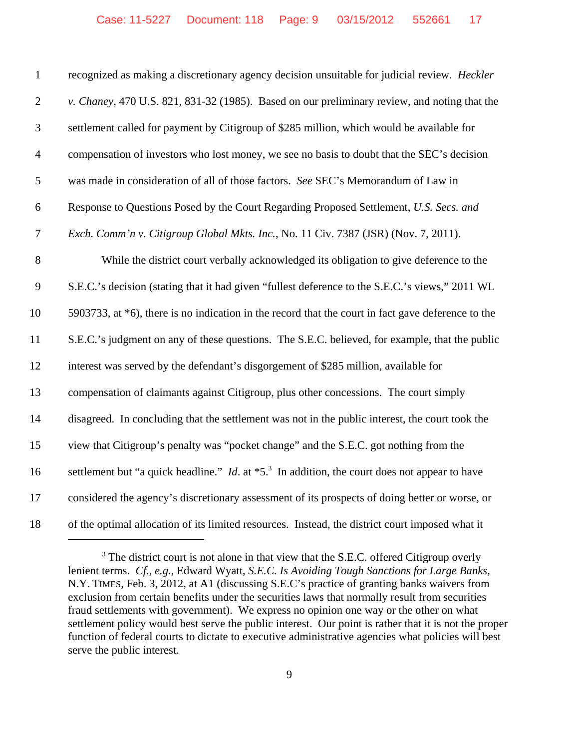| $\mathbf{1}$   | recognized as making a discretionary agency decision unsuitable for judicial review. Heckler                        |
|----------------|---------------------------------------------------------------------------------------------------------------------|
| $\mathbf{2}$   | v. Chaney, 470 U.S. 821, 831-32 (1985). Based on our preliminary review, and noting that the                        |
| 3              | settlement called for payment by Citigroup of \$285 million, which would be available for                           |
| $\overline{4}$ | compensation of investors who lost money, we see no basis to doubt that the SEC's decision                          |
| 5              | was made in consideration of all of those factors. See SEC's Memorandum of Law in                                   |
| 6              | Response to Questions Posed by the Court Regarding Proposed Settlement, U.S. Secs. and                              |
| $\tau$         | Exch. Comm'n v. Citigroup Global Mkts. Inc., No. 11 Civ. 7387 (JSR) (Nov. 7, 2011).                                 |
| 8              | While the district court verbally acknowledged its obligation to give deference to the                              |
| 9              | S.E.C.'s decision (stating that it had given "fullest deference to the S.E.C.'s views," 2011 WL                     |
| 10             | 5903733, at *6), there is no indication in the record that the court in fact gave deference to the                  |
| 11             | S.E.C.'s judgment on any of these questions. The S.E.C. believed, for example, that the public                      |
| 12             | interest was served by the defendant's disgorgement of \$285 million, available for                                 |
| 13             | compensation of claimants against Citigroup, plus other concessions. The court simply                               |
| 14             | disagreed. In concluding that the settlement was not in the public interest, the court took the                     |
| 15             | view that Citigroup's penalty was "pocket change" and the S.E.C. got nothing from the                               |
| 16             | settlement but "a quick headline." <i>Id.</i> at $*5$ . <sup>3</sup> In addition, the court does not appear to have |
| 17             | considered the agency's discretionary assessment of its prospects of doing better or worse, or                      |
| 18             | of the optimal allocation of its limited resources. Instead, the district court imposed what it                     |

 The district court is not alone in that view that the S.E.C. offered Citigroup overly lenient terms. *Cf., e.g.,* Edward Wyatt, *S.E.C. Is Avoiding Tough Sanctions for Large Banks*, N.Y. TIMES, Feb. 3, 2012, at A1 (discussing S.E.C's practice of granting banks waivers from exclusion from certain benefits under the securities laws that normally result from securities fraud settlements with government). We express no opinion one way or the other on what settlement policy would best serve the public interest. Our point is rather that it is not the proper function of federal courts to dictate to executive administrative agencies what policies will best serve the public interest.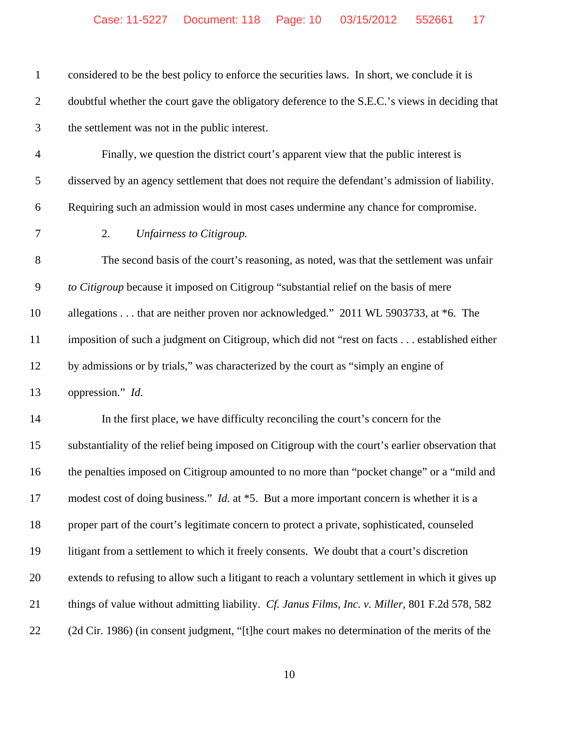| $\mathbf{1}$   | considered to be the best policy to enforce the securities laws. In short, we conclude it is      |
|----------------|---------------------------------------------------------------------------------------------------|
| $\overline{2}$ | doubtful whether the court gave the obligatory deference to the S.E.C.'s views in deciding that   |
| 3              | the settlement was not in the public interest.                                                    |
| $\overline{4}$ | Finally, we question the district court's apparent view that the public interest is               |
| 5              | disserved by an agency settlement that does not require the defendant's admission of liability.   |
| 6              | Requiring such an admission would in most cases undermine any chance for compromise.              |
| $\tau$         | 2.<br>Unfairness to Citigroup.                                                                    |
| $8\,$          | The second basis of the court's reasoning, as noted, was that the settlement was unfair           |
| $\overline{9}$ | to Citigroup because it imposed on Citigroup "substantial relief on the basis of mere             |
| 10             | allegations that are neither proven nor acknowledged." 2011 WL 5903733, at *6. The                |
| 11             | imposition of such a judgment on Citigroup, which did not "rest on facts established either       |
| 12             | by admissions or by trials," was characterized by the court as "simply an engine of               |
| 13             | oppression." Id.                                                                                  |
| 14             | In the first place, we have difficulty reconciling the court's concern for the                    |
| 15             | substantiality of the relief being imposed on Citigroup with the court's earlier observation that |
| 16             | the penalties imposed on Citigroup amounted to no more than "pocket change" or a "mild and        |
| 17             | modest cost of doing business." <i>Id.</i> at *5. But a more important concern is whether it is a |
| 18             | proper part of the court's legitimate concern to protect a private, sophisticated, counseled      |
| 19             | litigant from a settlement to which it freely consents. We doubt that a court's discretion        |
| 20             | extends to refusing to allow such a litigant to reach a voluntary settlement in which it gives up |
| 21             | things of value without admitting liability. Cf. Janus Films, Inc. v. Miller, 801 F.2d 578, 582   |
| 22             | (2d Cir. 1986) (in consent judgment, "[t]he court makes no determination of the merits of the     |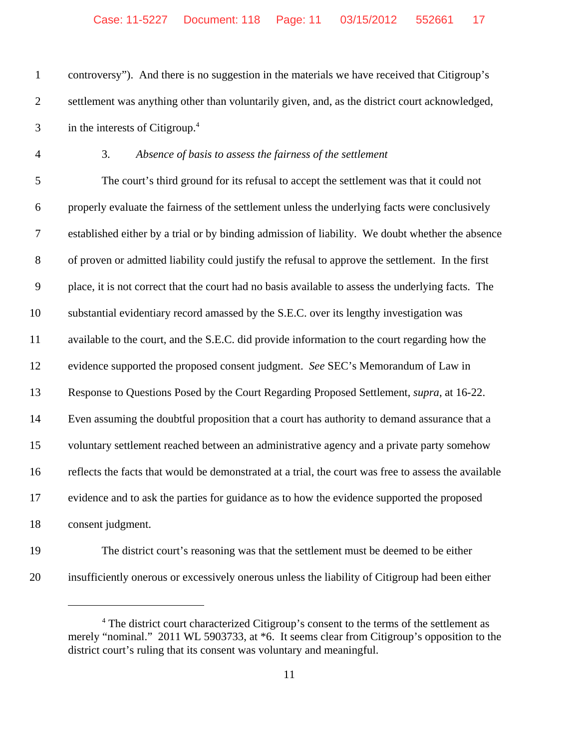controversy"). And there is no suggestion in the materials we have received that Citigroup's settlement was anything other than voluntarily given, and, as the district court acknowledged, in the interests of Citigroup.<sup>4</sup>

3. *Absence of basis to assess the fairness of the settlement*

 The court's third ground for its refusal to accept the settlement was that it could not properly evaluate the fairness of the settlement unless the underlying facts were conclusively established either by a trial or by binding admission of liability. We doubt whether the absence of proven or admitted liability could justify the refusal to approve the settlement. In the first place, it is not correct that the court had no basis available to assess the underlying facts. The substantial evidentiary record amassed by the S.E.C. over its lengthy investigation was available to the court, and the S.E.C. did provide information to the court regarding how the evidence supported the proposed consent judgment. *See* SEC's Memorandum of Law in Response to Questions Posed by the Court Regarding Proposed Settlement, *supra*, at 16-22. Even assuming the doubtful proposition that a court has authority to demand assurance that a voluntary settlement reached between an administrative agency and a private party somehow reflects the facts that would be demonstrated at a trial, the court was free to assess the available evidence and to ask the parties for guidance as to how the evidence supported the proposed consent judgment.

- 
- The district court's reasoning was that the settlement must be deemed to be either insufficiently onerous or excessively onerous unless the liability of Citigroup had been either

<sup>&</sup>lt;sup>4</sup> The district court characterized Citigroup's consent to the terms of the settlement as merely "nominal." 2011 WL 5903733, at \*6. It seems clear from Citigroup's opposition to the district court's ruling that its consent was voluntary and meaningful.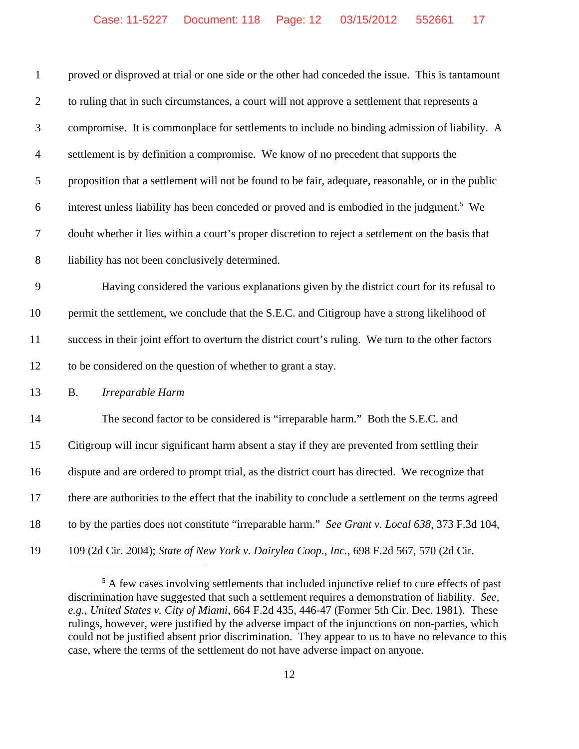| $\mathbf{1}$   | proved or disproved at trial or one side or the other had conceded the issue. This is tantamount       |
|----------------|--------------------------------------------------------------------------------------------------------|
| $\overline{2}$ | to ruling that in such circumstances, a court will not approve a settlement that represents a          |
| 3              | compromise. It is commonplace for settlements to include no binding admission of liability. A          |
| $\overline{4}$ | settlement is by definition a compromise. We know of no precedent that supports the                    |
| 5              | proposition that a settlement will not be found to be fair, adequate, reasonable, or in the public     |
| 6              | interest unless liability has been conceded or proved and is embodied in the judgment. <sup>5</sup> We |
| 7              | doubt whether it lies within a court's proper discretion to reject a settlement on the basis that      |
| $8\,$          | liability has not been conclusively determined.                                                        |
| 9              | Having considered the various explanations given by the district court for its refusal to              |
| 10             | permit the settlement, we conclude that the S.E.C. and Citigroup have a strong likelihood of           |
| 11             | success in their joint effort to overturn the district court's ruling. We turn to the other factors    |
| 12             | to be considered on the question of whether to grant a stay.                                           |
| 13             | Irreparable Harm<br><b>B.</b>                                                                          |
| 14             | The second factor to be considered is "irreparable harm." Both the S.E.C. and                          |
| 15             | Citigroup will incur significant harm absent a stay if they are prevented from settling their          |
| 16             | dispute and are ordered to prompt trial, as the district court has directed. We recognize that         |
| 17             | there are authorities to the effect that the inability to conclude a settlement on the terms agreed    |
| 18             | to by the parties does not constitute "irreparable harm." See Grant v. Local 638, 373 F.3d 104,        |
| 19             | 109 (2d Cir. 2004); State of New York v. Dairylea Coop., Inc., 698 F.2d 567, 570 (2d Cir.              |

<sup>&</sup>lt;sup>5</sup> A few cases involving settlements that included injunctive relief to cure effects of past discrimination have suggested that such a settlement requires a demonstration of liability. *See, e.g., United States v. City of Miami*, 664 F.2d 435, 446-47 (Former 5th Cir. Dec. 1981). These rulings, however, were justified by the adverse impact of the injunctions on non-parties, which could not be justified absent prior discrimination. They appear to us to have no relevance to this case, where the terms of the settlement do not have adverse impact on anyone.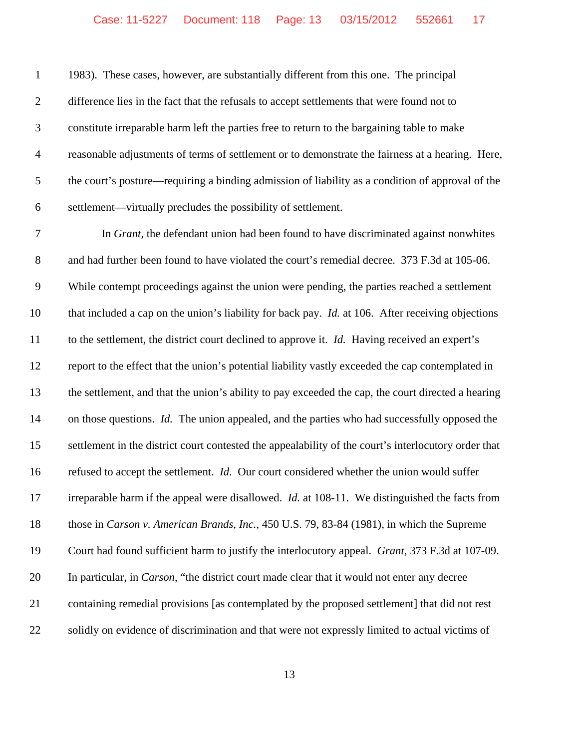1983). These cases, however, are substantially different from this one. The principal difference lies in the fact that the refusals to accept settlements that were found not to constitute irreparable harm left the parties free to return to the bargaining table to make reasonable adjustments of terms of settlement or to demonstrate the fairness at a hearing. Here, the court's posture—requiring a binding admission of liability as a condition of approval of the settlement—virtually precludes the possibility of settlement.

 In *Grant,* the defendant union had been found to have discriminated against nonwhites 8 and had further been found to have violated the court's remedial decree. 373 F.3d at 105-06. While contempt proceedings against the union were pending, the parties reached a settlement that included a cap on the union's liability for back pay. *Id.* at 106. After receiving objections to the settlement, the district court declined to approve it. *Id.* Having received an expert's report to the effect that the union's potential liability vastly exceeded the cap contemplated in the settlement, and that the union's ability to pay exceeded the cap, the court directed a hearing on those questions. *Id.* The union appealed, and the parties who had successfully opposed the settlement in the district court contested the appealability of the court's interlocutory order that refused to accept the settlement. *Id.* Our court considered whether the union would suffer irreparable harm if the appeal were disallowed. *Id.* at 108-11. We distinguished the facts from those in *Carson v. American Brands, Inc.*, 450 U.S. 79, 83-84 (1981), in which the Supreme Court had found sufficient harm to justify the interlocutory appeal. *Grant*, 373 F.3d at 107-09. In particular, in *Carson*, "the district court made clear that it would not enter any decree containing remedial provisions [as contemplated by the proposed settlement] that did not rest solidly on evidence of discrimination and that were not expressly limited to actual victims of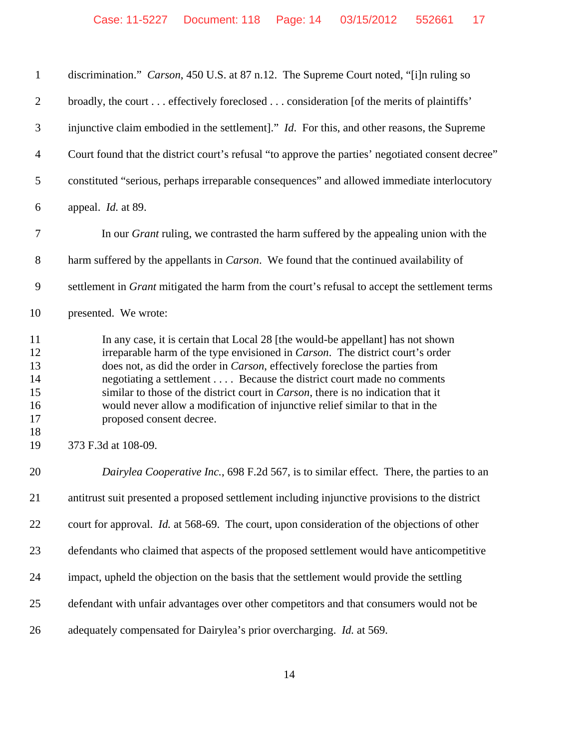| $\mathbf{1}$                                 | discrimination." Carson, 450 U.S. at 87 n.12. The Supreme Court noted, "[i]n ruling so                                                                                                                                                                                                                                                                                                                                                                                                                                                   |
|----------------------------------------------|------------------------------------------------------------------------------------------------------------------------------------------------------------------------------------------------------------------------------------------------------------------------------------------------------------------------------------------------------------------------------------------------------------------------------------------------------------------------------------------------------------------------------------------|
| $\mathbf{2}$                                 | broadly, the court effectively foreclosed consideration [of the merits of plaintiffs'                                                                                                                                                                                                                                                                                                                                                                                                                                                    |
| 3                                            | injunctive claim embodied in the settlement]." <i>Id.</i> For this, and other reasons, the Supreme                                                                                                                                                                                                                                                                                                                                                                                                                                       |
| 4                                            | Court found that the district court's refusal "to approve the parties' negotiated consent decree"                                                                                                                                                                                                                                                                                                                                                                                                                                        |
| 5                                            | constituted "serious, perhaps irreparable consequences" and allowed immediate interlocutory                                                                                                                                                                                                                                                                                                                                                                                                                                              |
| 6                                            | appeal. <i>Id.</i> at 89.                                                                                                                                                                                                                                                                                                                                                                                                                                                                                                                |
| $\tau$                                       | In our <i>Grant</i> ruling, we contrasted the harm suffered by the appealing union with the                                                                                                                                                                                                                                                                                                                                                                                                                                              |
| 8                                            | harm suffered by the appellants in <i>Carson</i> . We found that the continued availability of                                                                                                                                                                                                                                                                                                                                                                                                                                           |
| 9                                            | settlement in <i>Grant</i> mitigated the harm from the court's refusal to accept the settlement terms                                                                                                                                                                                                                                                                                                                                                                                                                                    |
| 10                                           | presented. We wrote:                                                                                                                                                                                                                                                                                                                                                                                                                                                                                                                     |
| 11<br>12<br>13<br>14<br>15<br>16<br>17<br>18 | In any case, it is certain that Local 28 [the would-be appellant] has not shown<br>irreparable harm of the type envisioned in Carson. The district court's order<br>does not, as did the order in <i>Carson</i> , effectively foreclose the parties from<br>negotiating a settlement Because the district court made no comments<br>similar to those of the district court in <i>Carson</i> , there is no indication that it<br>would never allow a modification of injunctive relief similar to that in the<br>proposed consent decree. |
| 19                                           | 373 F.3d at 108-09.                                                                                                                                                                                                                                                                                                                                                                                                                                                                                                                      |
| 20                                           | Dairylea Cooperative Inc., 698 F.2d 567, is to similar effect. There, the parties to an                                                                                                                                                                                                                                                                                                                                                                                                                                                  |
| 21                                           | antitrust suit presented a proposed settlement including injunctive provisions to the district                                                                                                                                                                                                                                                                                                                                                                                                                                           |
| 22                                           | court for approval. <i>Id.</i> at 568-69. The court, upon consideration of the objections of other                                                                                                                                                                                                                                                                                                                                                                                                                                       |
| 23                                           | defendants who claimed that aspects of the proposed settlement would have anticompetitive                                                                                                                                                                                                                                                                                                                                                                                                                                                |
| 24                                           | impact, upheld the objection on the basis that the settlement would provide the settling                                                                                                                                                                                                                                                                                                                                                                                                                                                 |
| 25                                           | defendant with unfair advantages over other competitors and that consumers would not be                                                                                                                                                                                                                                                                                                                                                                                                                                                  |
| 26                                           | adequately compensated for Dairylea's prior overcharging. Id. at 569.                                                                                                                                                                                                                                                                                                                                                                                                                                                                    |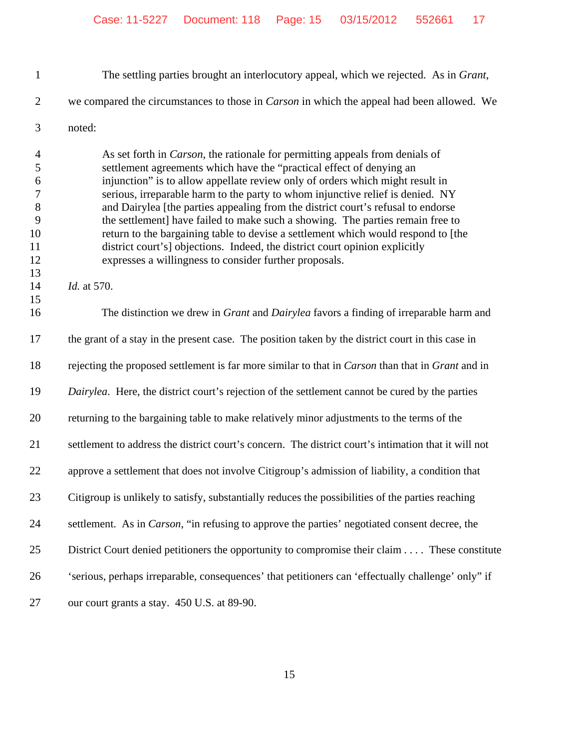The settling parties brought an interlocutory appeal, which we rejected. As in *Grant*,

we compared the circumstances to those in *Carson* in which the appeal had been allowed. We

noted:

 As set forth in *Carson*, the rationale for permitting appeals from denials of settlement agreements which have the "practical effect of denying an injunction" is to allow appellate review only of orders which might result in serious, irreparable harm to the party to whom injunctive relief is denied. NY and Dairylea [the parties appealing from the district court's refusal to endorse the settlement] have failed to make such a showing. The parties remain free to return to the bargaining table to devise a settlement which would respond to [the district court's] objections. Indeed, the district court opinion explicitly expresses a willingness to consider further proposals.

*Id.* at 570.

 The distinction we drew in *Grant* and *Dairylea* favors a finding of irreparable harm and the grant of a stay in the present case. The position taken by the district court in this case in rejecting the proposed settlement is far more similar to that in *Carson* than that in *Grant* and in *Dairylea*. Here, the district court's rejection of the settlement cannot be cured by the parties returning to the bargaining table to make relatively minor adjustments to the terms of the settlement to address the district court's concern. The district court's intimation that it will not approve a settlement that does not involve Citigroup's admission of liability, a condition that Citigroup is unlikely to satisfy, substantially reduces the possibilities of the parties reaching settlement. As in *Carson*, "in refusing to approve the parties' negotiated consent decree, the District Court denied petitioners the opportunity to compromise their claim . . . . These constitute 'serious, perhaps irreparable, consequences' that petitioners can 'effectually challenge' only" if our court grants a stay. 450 U.S. at 89-90.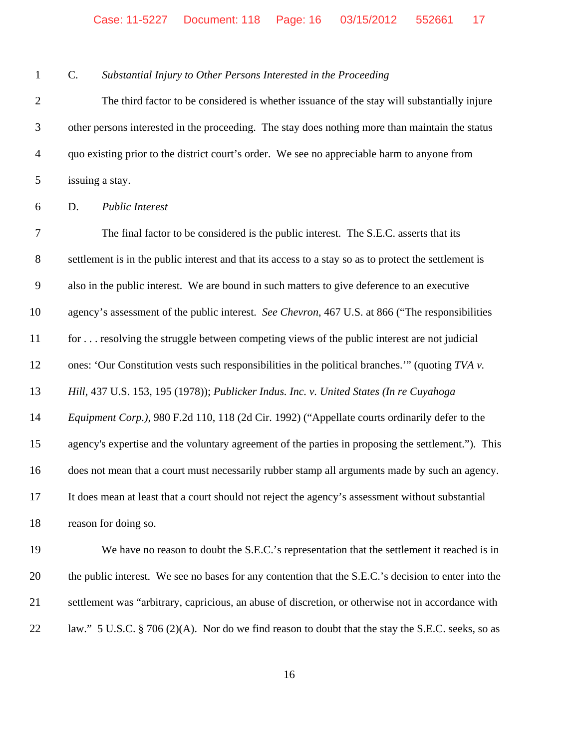C. *Substantial Injury to Other Persons Interested in the Proceeding*

 The third factor to be considered is whether issuance of the stay will substantially injure other persons interested in the proceeding. The stay does nothing more than maintain the status quo existing prior to the district court's order. We see no appreciable harm to anyone from issuing a stay.

D. *Public Interest*

 The final factor to be considered is the public interest. The S.E.C. asserts that its settlement is in the public interest and that its access to a stay so as to protect the settlement is also in the public interest. We are bound in such matters to give deference to an executive agency's assessment of the public interest. *See Chevron*, 467 U.S. at 866 ("The responsibilities for . . . resolving the struggle between competing views of the public interest are not judicial ones: 'Our Constitution vests such responsibilities in the political branches.'" (quoting *TVA v. Hill*, 437 U.S. 153, 195 (1978)); *Publicker Indus. Inc. v. United States (In re Cuyahoga Equipment Corp.)*, 980 F.2d 110, 118 (2d Cir. 1992) ("Appellate courts ordinarily defer to the agency's expertise and the voluntary agreement of the parties in proposing the settlement."). This does not mean that a court must necessarily rubber stamp all arguments made by such an agency. It does mean at least that a court should not reject the agency's assessment without substantial reason for doing so.

 We have no reason to doubt the S.E.C.'s representation that the settlement it reached is in the public interest. We see no bases for any contention that the S.E.C.'s decision to enter into the settlement was "arbitrary, capricious, an abuse of discretion, or otherwise not in accordance with 22 law." 5 U.S.C. § 706 (2)(A). Nor do we find reason to doubt that the stay the S.E.C. seeks, so as